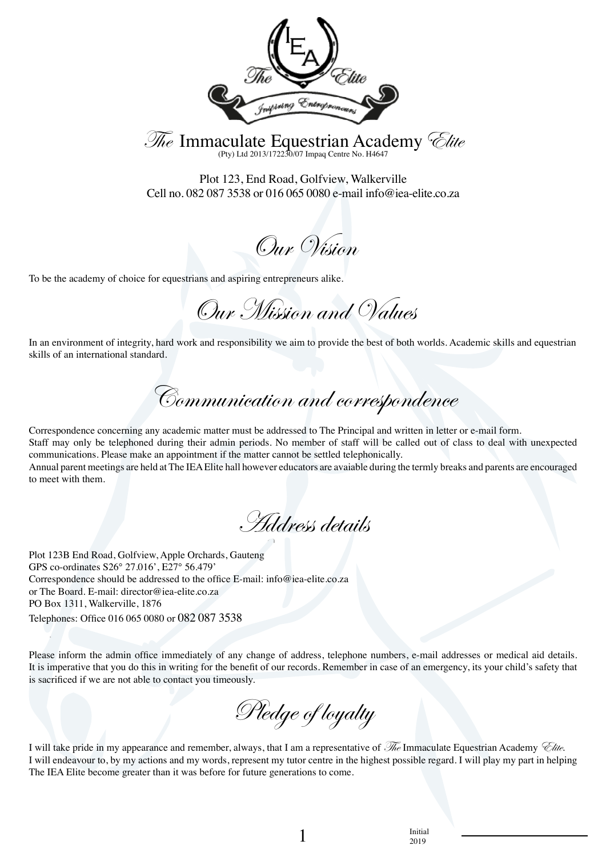

The Immaculate Equestrian Academy *Clite* 

Plot 123, End Road, Golfview, Walkerville Cell no. 082 087 3538 or 016 065 0080 e-mail info@iea-elite.co.za

Our Vision

To be the academy of choice for equestrians and aspiring entrepreneurs alike.

Our Mission and Values

In an environment of integrity, hard work and responsibility we aim to provide the best of both worlds. Academic skills and equestrian skills of an international standard.

Communication and correspondence

Correspondence concerning any academic matter must be addressed to The Principal and written in letter or e-mail form. Staff may only be telephoned during their admin periods. No member of staff will be called out of class to deal with unexpected communications. Please make an appointment if the matter cannot be settled telephonically. Annual parent meetings are held at The IEA Elite hall however educators are avaiable during the termly breaks and parents are encouraged to meet with them.

Address details

Plot 123B End Road, Golfview, Apple Orchards, Gauteng GPS co-ordinates S26° 27.016', E27° 56.479' Correspondence should be addressed to the office E-mail: info@iea-elite.co.za or The Board. E-mail: director@iea-elite.co.za PO Box 1311, Walkerville, 1876 Telephones: Office 016 065 0080 or 082 087 3538

Please inform the admin office immediately of any change of address, telephone numbers, e-mail addresses or medical aid details. It is imperative that you do this in writing for the benefit of our records. Remember in case of an emergency, its your child's safety that is sacrificed if we are not able to contact you timeously.

Pledge of loyalty

I will take pride in my appearance and remember, always, that I am a representative of  $\bar{\mathcal{M}}_e$  Immaculate Equestrian Academy *Clite.* I will endeavour to, by my actions and my words, represent my tutor centre in the highest possible regard. I will play my part in helping The IEA Elite become greater than it was before for future generations to come.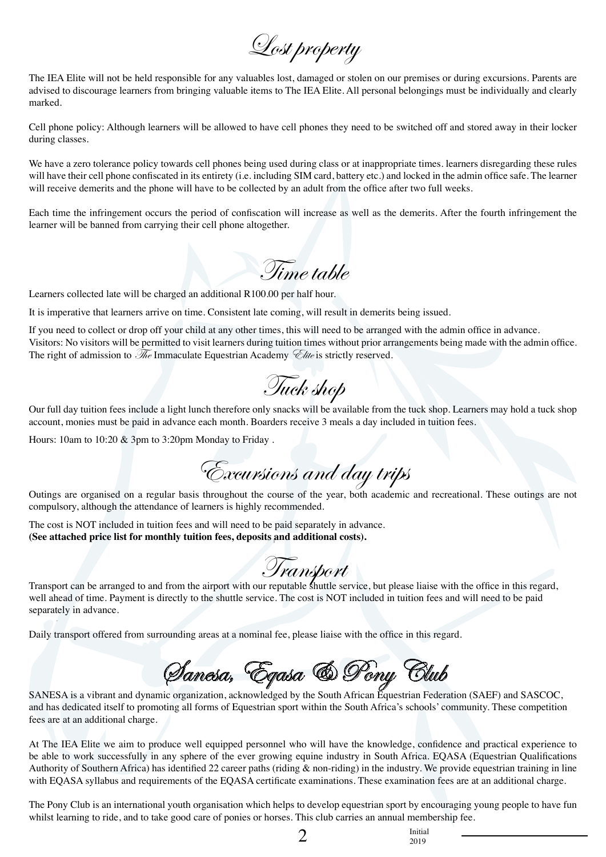Lost property

The IEA Elite will not be held responsible for any valuables lost, damaged or stolen on our premises or during excursions. Parents are advised to discourage learners from bringing valuable items to The IEA Elite. All personal belongings must be individually and clearly marked.

Cell phone policy: Although learners will be allowed to have cell phones they need to be switched off and stored away in their locker during classes.

We have a zero tolerance policy towards cell phones being used during class or at inappropriate times. learners disregarding these rules will have their cell phone confiscated in its entirety (i.e. including SIM card, battery etc.) and locked in the admin office safe. The learner will receive demerits and the phone will have to be collected by an adult from the office after two full weeks.

Each time the infringement occurs the period of confiscation will increase as well as the demerits. After the fourth infringement the learner will be banned from carrying their cell phone altogether.

Time table

Learners collected late will be charged an additional R100.00 per half hour.

It is imperative that learners arrive on time. Consistent late coming, will result in demerits being issued.

If you need to collect or drop off your child at any other times, this will need to be arranged with the admin office in advance. Visitors: No visitors will be permitted to visit learners during tuition times without prior arrangements being made with the admin office. The right of admission to  $\mathcal{H}_e$  Immaculate Equestrian Academy  $\mathcal{L}_{\text{line}}$  is strictly reserved.

Tuck shop

Our full day tuition fees include a light lunch therefore only snacks will be available from the tuck shop. Learners may hold a tuck shop account, monies must be paid in advance each month. Boarders receive 3 meals a day included in tuition fees.

Hours: 10am to 10:20 & 3pm to 3:20pm Monday to Friday .

Excursions and day trips

Outings are organised on a regular basis throughout the course of the year, both academic and recreational. These outings are not compulsory, although the attendance of learners is highly recommended.

The cost is NOT included in tuition fees and will need to be paid separately in advance. **(See attached price list for monthly tuition fees, deposits and additional costs).**

Transport can be arranged to and from the airport with our reputable shuttle service, but please liaise with the office in this regard, well ahead of time. Payment is directly to the shuttle service. The cost is NOT included in tuition fees and will need to be paid separately in advance.

Daily transport offered from surrounding areas at a nominal fee, please liaise with the office in this regard.

Sanesa, Eqasa & Pony Club

SANESA is a vibrant and dynamic organization, acknowledged by the South African Equestrian Federation (SAEF) and SASCOC, and has dedicated itself to promoting all forms of Equestrian sport within the South Africa's schools' community. These competition fees are at an additional charge.

At The IEA Elite we aim to produce well equipped personnel who will have the knowledge, confidence and practical experience to be able to work successfully in any sphere of the ever growing equine industry in South Africa. EQASA (Equestrian Qualifications Authority of Southern Africa) has identified 22 career paths (riding & non-riding) in the industry. We provide equestrian training in line with EQASA syllabus and requirements of the EQASA certificate examinations. These examination fees are at an additional charge.

The Pony Club is an international youth organisation which helps to develop equestrian sport by encouraging young people to have fun whilst learning to ride, and to take good care of ponies or horses. This club carries an annual membership fee.

 $\sum_{\substack{2019}}$ 

2019